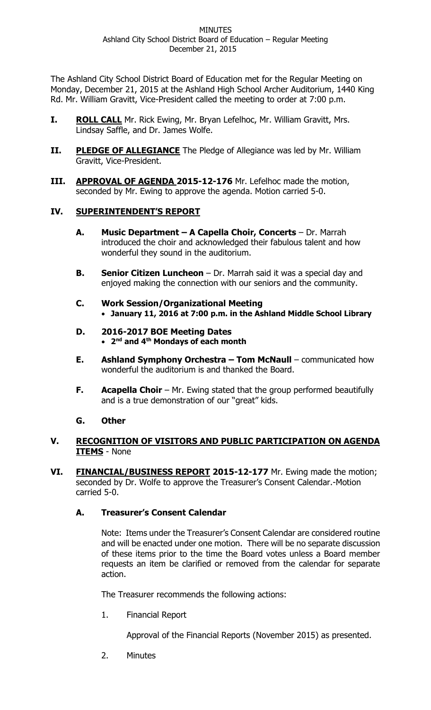The Ashland City School District Board of Education met for the Regular Meeting on Monday, December 21, 2015 at the Ashland High School Archer Auditorium, 1440 King Rd. Mr. William Gravitt, Vice-President called the meeting to order at 7:00 p.m.

- **I. ROLL CALL** Mr. Rick Ewing, Mr. Bryan Lefelhoc, Mr. William Gravitt, Mrs. Lindsay Saffle, and Dr. James Wolfe.
- **II.** PLEDGE OF ALLEGIANCE The Pledge of Allegiance was led by Mr. William Gravitt, Vice-President.
- **III. APPROVAL OF AGENDA 2015-12-176** Mr. Lefelhoc made the motion, seconded by Mr. Ewing to approve the agenda. Motion carried 5-0.

# **IV. SUPERINTENDENT'S REPORT**

- **A. Music Department – A Capella Choir, Concerts** Dr. Marrah introduced the choir and acknowledged their fabulous talent and how wonderful they sound in the auditorium.
- **B. Senior Citizen Luncheon** Dr. Marrah said it was a special day and enjoyed making the connection with our seniors and the community.
- **C. Work Session/Organizational Meeting January 11, 2016 at 7:00 p.m. in the Ashland Middle School Library**
- **D. 2016-2017 BOE Meeting Dates 2 nd and 4th Mondays of each month**
- **E. Ashland Symphony Orchestra – Tom McNaull** communicated how wonderful the auditorium is and thanked the Board.
- **F. Acapella Choir** Mr. Ewing stated that the group performed beautifully and is a true demonstration of our "great" kids.

# **G. Other**

- **V. RECOGNITION OF VISITORS AND PUBLIC PARTICIPATION ON AGENDA ITEMS** - None
- **VI. FINANCIAL/BUSINESS REPORT 2015-12-177** Mr. Ewing made the motion; seconded by Dr. Wolfe to approve the Treasurer's Consent Calendar.-Motion carried 5-0.

# **A. Treasurer's Consent Calendar**

Note: Items under the Treasurer's Consent Calendar are considered routine and will be enacted under one motion. There will be no separate discussion of these items prior to the time the Board votes unless a Board member requests an item be clarified or removed from the calendar for separate action.

The Treasurer recommends the following actions:

1. Financial Report

Approval of the Financial Reports (November 2015) as presented.

2. Minutes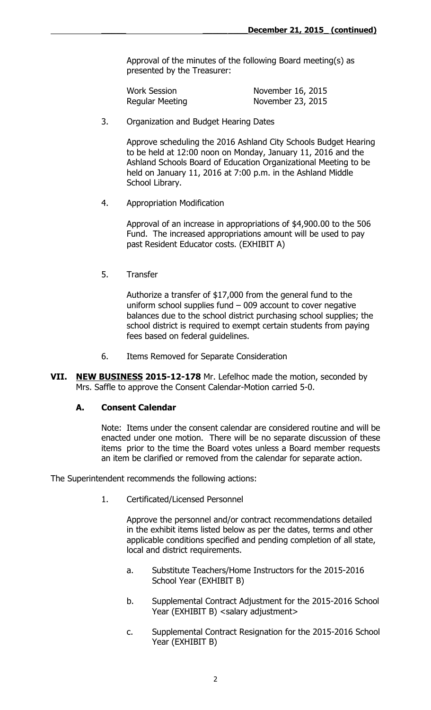Approval of the minutes of the following Board meeting(s) as presented by the Treasurer:

| <b>Work Session</b> | November 16, 2015 |
|---------------------|-------------------|
| Regular Meeting     | November 23, 2015 |

3. Organization and Budget Hearing Dates

Approve scheduling the 2016 Ashland City Schools Budget Hearing to be held at 12:00 noon on Monday, January 11, 2016 and the Ashland Schools Board of Education Organizational Meeting to be held on January 11, 2016 at 7:00 p.m. in the Ashland Middle School Library.

4. Appropriation Modification

Approval of an increase in appropriations of \$4,900.00 to the 506 Fund. The increased appropriations amount will be used to pay past Resident Educator costs. (EXHIBIT A)

5. Transfer

Authorize a transfer of \$17,000 from the general fund to the uniform school supplies fund – 009 account to cover negative balances due to the school district purchasing school supplies; the school district is required to exempt certain students from paying fees based on federal guidelines.

- 6. Items Removed for Separate Consideration
- **VII. NEW BUSINESS 2015-12-178** Mr. Lefelhoc made the motion, seconded by Mrs. Saffle to approve the Consent Calendar-Motion carried 5-0.

### **A. Consent Calendar**

Note: Items under the consent calendar are considered routine and will be enacted under one motion. There will be no separate discussion of these items prior to the time the Board votes unless a Board member requests an item be clarified or removed from the calendar for separate action.

The Superintendent recommends the following actions:

1. Certificated/Licensed Personnel

Approve the personnel and/or contract recommendations detailed in the exhibit items listed below as per the dates, terms and other applicable conditions specified and pending completion of all state, local and district requirements.

- a. Substitute Teachers/Home Instructors for the 2015-2016 School Year (EXHIBIT B)
- b. Supplemental Contract Adjustment for the 2015-2016 School Year (EXHIBIT B) < salary adjustment >
- c. Supplemental Contract Resignation for the 2015-2016 School Year (EXHIBIT B)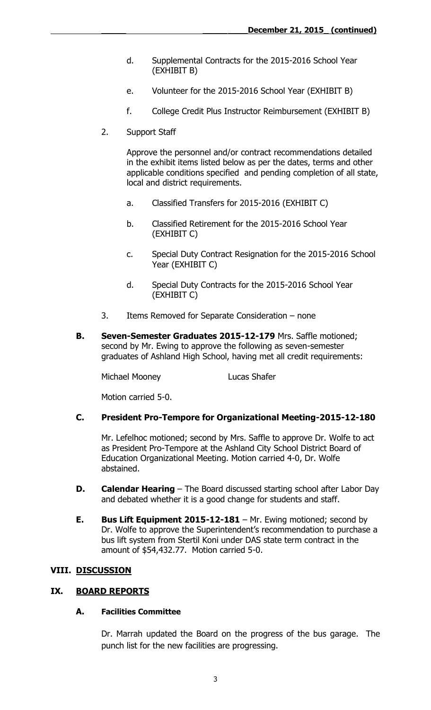- d. Supplemental Contracts for the 2015-2016 School Year (EXHIBIT B)
- e. Volunteer for the 2015-2016 School Year (EXHIBIT B)
- f. College Credit Plus Instructor Reimbursement (EXHIBIT B)
- 2. Support Staff

Approve the personnel and/or contract recommendations detailed in the exhibit items listed below as per the dates, terms and other applicable conditions specified and pending completion of all state, local and district requirements.

- a. Classified Transfers for 2015-2016 (EXHIBIT C)
- b. Classified Retirement for the 2015-2016 School Year (EXHIBIT C)
- c. Special Duty Contract Resignation for the 2015-2016 School Year (EXHIBIT C)
- d. Special Duty Contracts for the 2015-2016 School Year (EXHIBIT C)
- 3. Items Removed for Separate Consideration none
- **B. Seven-Semester Graduates 2015-12-179** Mrs. Saffle motioned; second by Mr. Ewing to approve the following as seven-semester graduates of Ashland High School, having met all credit requirements:

Michael Mooney Lucas Shafer

Motion carried 5-0.

### **C. President Pro-Tempore for Organizational Meeting-2015-12-180**

Mr. Lefelhoc motioned; second by Mrs. Saffle to approve Dr. Wolfe to act as President Pro-Tempore at the Ashland City School District Board of Education Organizational Meeting. Motion carried 4-0, Dr. Wolfe abstained.

- **D. Calendar Hearing** The Board discussed starting school after Labor Day and debated whether it is a good change for students and staff.
- **E. Bus Lift Equipment 2015-12-181** Mr. Ewing motioned; second by Dr. Wolfe to approve the Superintendent's recommendation to purchase a bus lift system from Stertil Koni under DAS state term contract in the amount of \$54,432.77. Motion carried 5-0.

### **VIII. DISCUSSION**

### **IX. BOARD REPORTS**

#### **A. Facilities Committee**

Dr. Marrah updated the Board on the progress of the bus garage. The punch list for the new facilities are progressing.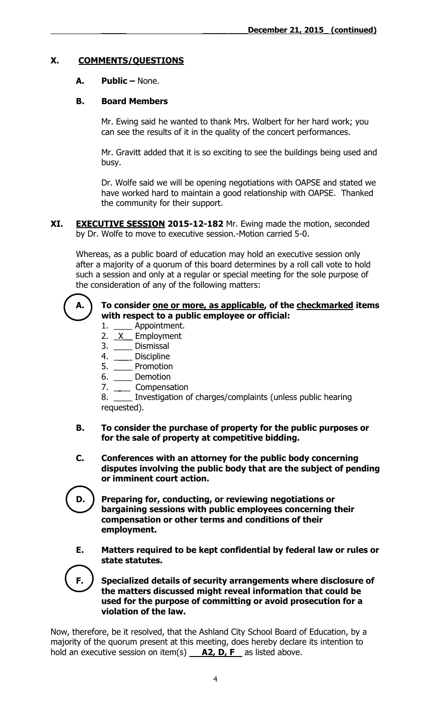# **X. COMMENTS/QUESTIONS**

# **A. Public –** None.

## **B. Board Members**

Mr. Ewing said he wanted to thank Mrs. Wolbert for her hard work; you can see the results of it in the quality of the concert performances.

Mr. Gravitt added that it is so exciting to see the buildings being used and busy.

Dr. Wolfe said we will be opening negotiations with OAPSE and stated we have worked hard to maintain a good relationship with OAPSE. Thanked the community for their support.

**XI. EXECUTIVE SESSION 2015-12-182** Mr. Ewing made the motion, seconded by Dr. Wolfe to move to executive session.-Motion carried 5-0.

Whereas, as a public board of education may hold an executive session only after a majority of a quorum of this board determines by a roll call vote to hold such a session and only at a regular or special meeting for the sole purpose of the consideration of any of the following matters:



### **A. To consider one or more, as applicable, of the checkmarked items with respect to a public employee or official:**

- 1. \_\_\_\_ Appointment.
- $\frac{2.2}{1.2}$  Employment
- 3. \_\_\_\_ Dismissal
- 4. \_\_\_\_\_ Discipline
- 5. \_\_\_\_ Promotion
- 6. \_\_\_\_ Demotion
- 7. \_\_\_\_\_ Compensation

8. \_\_\_\_ Investigation of charges/complaints (unless public hearing requested).

- **B. To consider the purchase of property for the public purposes or for the sale of property at competitive bidding.**
- **C. Conferences with an attorney for the public body concerning disputes involving the public body that are the subject of pending or imminent court action.**
- **D. Preparing for, conducting, or reviewing negotiations or bargaining sessions with public employees concerning their compensation or other terms and conditions of their employment.**
- **E. Matters required to be kept confidential by federal law or rules or state statutes.**

**F. Specialized details of security arrangements where disclosure of the matters discussed might reveal information that could be used for the purpose of committing or avoid prosecution for a violation of the law.**

Now, therefore, be it resolved, that the Ashland City School Board of Education, by a majority of the quorum present at this meeting, does hereby declare its intention to hold an executive session on item(s) **A2, D, F** as listed above.